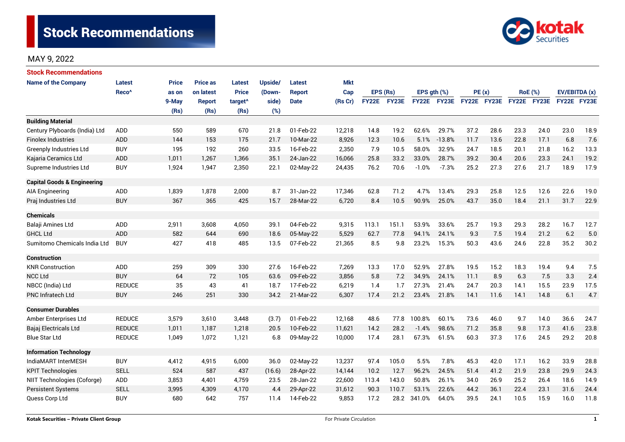

# MAY 9, 2022

| <b>Stock Recommendations</b>           |                   |              |                 |                     |         |             |            |              |              |             |          |             |      |                |      |               |      |
|----------------------------------------|-------------------|--------------|-----------------|---------------------|---------|-------------|------------|--------------|--------------|-------------|----------|-------------|------|----------------|------|---------------|------|
| <b>Name of the Company</b>             | Latest            | <b>Price</b> | <b>Price as</b> | Latest              | Upside/ | Latest      | <b>Mkt</b> |              |              |             |          |             |      |                |      |               |      |
|                                        | Reco <sup>^</sup> | as on        | on latest       | <b>Price</b>        | (Down-  | Report      | Cap        | EPS (Rs)     |              | EPS gth (%) |          | PE(x)       |      | <b>RoE</b> (%) |      | EV/EBITDA (x) |      |
|                                        |                   | 9-May        | <b>Report</b>   | target <sup>^</sup> | side)   | <b>Date</b> | (Rs Cr)    | <b>FY22E</b> | <b>FY23E</b> | FY22E       | FY23E    | FY22E FY23E |      | FY22E FY23E    |      | FY22E FY23E   |      |
|                                        |                   | (Rs)         | (Rs)            | (Rs)                | (%)     |             |            |              |              |             |          |             |      |                |      |               |      |
| <b>Building Material</b>               |                   |              |                 |                     |         |             |            |              |              |             |          |             |      |                |      |               |      |
| Century Plyboards (India) Ltd          | <b>ADD</b>        | 550          | 589             | 670                 | 21.8    | 01-Feb-22   | 12,218     | 14.8         | 19.2         | 62.6%       | 29.7%    | 37.2        | 28.6 | 23.3           | 24.0 | 23.0          | 18.9 |
| <b>Finolex Industries</b>              | ADD               | 144          | 153             | 175                 | 21.7    | 10-Mar-22   | 8,926      | 12.3         | 10.6         | 5.1%        | $-13.8%$ | 11.7        | 13.6 | 22.8           | 17.1 | 6.8           | 7.6  |
| Greenply Industries Ltd                | <b>BUY</b>        | 195          | 192             | 260                 | 33.5    | 16-Feb-22   | 2,350      | 7.9          | 10.5         | 58.0%       | 32.9%    | 24.7        | 18.5 | 20.1           | 21.8 | 16.2          | 13.3 |
| Kajaria Ceramics Ltd                   | ADD               | 1,011        | 1,267           | 1,366               | 35.1    | 24-Jan-22   | 16,066     | 25.8         | 33.2         | 33.0%       | 28.7%    | 39.2        | 30.4 | 20.6           | 23.3 | 24.1          | 19.2 |
| Supreme Industries Ltd                 | <b>BUY</b>        | 1,924        | 1,947           | 2,350               | 22.1    | 02-May-22   | 24,435     | 76.2         | 70.6         | $-1.0%$     | $-7.3%$  | 25.2        | 27.3 | 27.6           | 21.7 | 18.9          | 17.9 |
| <b>Capital Goods &amp; Engineering</b> |                   |              |                 |                     |         |             |            |              |              |             |          |             |      |                |      |               |      |
| AIA Engineering                        | ADD               | 1,839        | 1,878           | 2,000               | 8.7     | 31-Jan-22   | 17,346     | 62.8         | 71.2         | 4.7%        | 13.4%    | 29.3        | 25.8 | 12.5           | 12.6 | 22.6          | 19.0 |
| Praj Industries Ltd                    | <b>BUY</b>        | 367          | 365             | 425                 | 15.7    | 28-Mar-22   | 6,720      | 8.4          | 10.5         | 90.9%       | 25.0%    | 43.7        | 35.0 | 18.4           | 21.1 | 31.7          | 22.9 |
| <b>Chemicals</b>                       |                   |              |                 |                     |         |             |            |              |              |             |          |             |      |                |      |               |      |
| Balaji Amines Ltd                      | <b>ADD</b>        | 2,911        | 3,608           | 4,050               | 39.1    | 04-Feb-22   | 9,315      | 113.1        | 151.1        | 53.9%       | 33.6%    | 25.7        | 19.3 | 29.3           | 28.2 | 16.7          | 12.7 |
| <b>GHCL Ltd</b>                        | ADD               | 582          | 644             | 690                 | 18.6    | 05-May-22   | 5,529      | 62.7         | 77.8         | 94.1%       | 24.1%    | 9.3         | 7.5  | 19.4           | 21.2 | 6.2           | 5.0  |
| Sumitomo Chemicals India Ltd           | <b>BUY</b>        | 427          | 418             | 485                 | 13.5    | 07-Feb-22   | 21,365     | 8.5          | 9.8          | 23.2%       | 15.3%    | 50.3        | 43.6 | 24.6           | 22.8 | 35.2          | 30.2 |
| Construction                           |                   |              |                 |                     |         |             |            |              |              |             |          |             |      |                |      |               |      |
| <b>KNR Construction</b>                | ADD               | 259          | 309             | 330                 | 27.6    | 16-Feb-22   | 7,269      | 13.3         | 17.0         | 52.9%       | 27.8%    | 19.5        | 15.2 | 18.3           | 19.4 | 9.4           | 7.5  |
| <b>NCC Ltd</b>                         | <b>BUY</b>        | 64           | 72              | 105                 | 63.6    | 09-Feb-22   | 3,856      | 5.8          | 7.2          | 34.9%       | 24.1%    | 11.1        | 8.9  | 6.3            | 7.5  | 3.3           | 2.4  |
| NBCC (India) Ltd                       | <b>REDUCE</b>     | 35           | 43              | 41                  | 18.7    | 17-Feb-22   | 6,219      | 1.4          | 1.7          | 27.3%       | 21.4%    | 24.7        | 20.3 | 14.1           | 15.5 | 23.9          | 17.5 |
| <b>PNC Infratech Ltd</b>               | <b>BUY</b>        | 246          | 251             | 330                 | 34.2    | 21-Mar-22   | 6,307      | 17.4         | 21.2         | 23.4%       | 21.8%    | 14.1        | 11.6 | 14.1           | 14.8 | 6.1           | 4.7  |
| <b>Consumer Durables</b>               |                   |              |                 |                     |         |             |            |              |              |             |          |             |      |                |      |               |      |
| Amber Enterprises Ltd                  | <b>REDUCE</b>     | 3,579        | 3,610           | 3,448               | (3.7)   | 01-Feb-22   | 12,168     | 48.6         | 77.8         | 100.8%      | 60.1%    | 73.6        | 46.0 | 9.7            | 14.0 | 36.6          | 24.7 |
| Bajaj Electricals Ltd                  | <b>REDUCE</b>     | 1,011        | 1,187           | 1,218               | 20.5    | 10-Feb-22   | 11,621     | 14.2         | 28.2         | $-1.4%$     | 98.6%    | 71.2        | 35.8 | 9.8            | 17.3 | 41.6          | 23.8 |
| <b>Blue Star Ltd</b>                   | <b>REDUCE</b>     | 1,049        | 1,072           | 1,121               | 6.8     | 09-May-22   | 10,000     | 17.4         | 28.1         | 67.3%       | 61.5%    | 60.3        | 37.3 | 17.6           | 24.5 | 29.2          | 20.8 |
| <b>Information Technology</b>          |                   |              |                 |                     |         |             |            |              |              |             |          |             |      |                |      |               |      |
| IndiaMART InterMESH                    | <b>BUY</b>        | 4,412        | 4,915           | 6,000               | 36.0    | 02-May-22   | 13,237     | 97.4         | 105.0        | 5.5%        | 7.8%     | 45.3        | 42.0 | 17.1           | 16.2 | 33.9          | 28.8 |
| <b>KPIT Technologies</b>               | <b>SELL</b>       | 524          | 587             | 437                 | (16.6)  | 28-Apr-22   | 14,144     | 10.2         | 12.7         | 96.2%       | 24.5%    | 51.4        | 41.2 | 21.9           | 23.8 | 29.9          | 24.3 |
| NIIT Technologies (Coforge)            | ADD               | 3,853        | 4,401           | 4,759               | 23.5    | 28-Jan-22   | 22,600     | 113.4        | 143.0        | 50.8%       | 26.1%    | 34.0        | 26.9 | 25.2           | 26.4 | 18.6          | 14.9 |
| <b>Persistent Systems</b>              | <b>SELL</b>       | 3,995        | 4,309           | 4,170               | 4.4     | 29-Apr-22   | 31,612     | 90.3         | 110.7        | 53.1%       | 22.6%    | 44.2        | 36.1 | 22.4           | 23.1 | 31.6          | 24.4 |
| Quess Corp Ltd                         | <b>BUY</b>        | 680          | 642             | 757                 | 11.4    | 14-Feb-22   | 9,853      | 17.2         | 28.2         | 341.0%      | 64.0%    | 39.5        | 24.1 | 10.5           | 15.9 | 16.0          | 11.8 |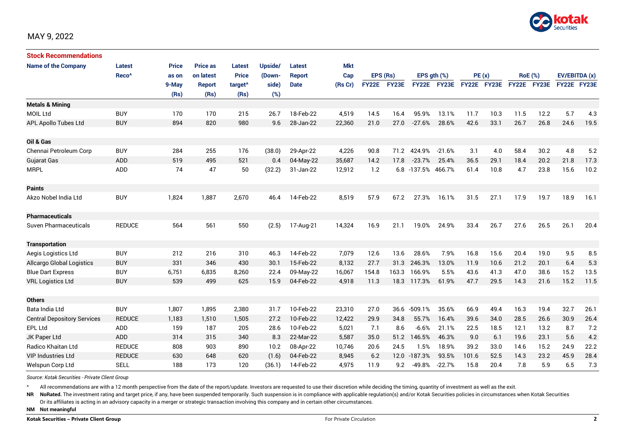

| <b>Stock Recommendations</b>       |                   |              |                 |                     |         |               |            |              |       |                  |              |             |      |                |      |               |      |
|------------------------------------|-------------------|--------------|-----------------|---------------------|---------|---------------|------------|--------------|-------|------------------|--------------|-------------|------|----------------|------|---------------|------|
| <b>Name of the Company</b>         | <b>Latest</b>     | <b>Price</b> | <b>Price as</b> | Latest              | Upside/ | Latest        | <b>Mkt</b> |              |       |                  |              |             |      |                |      |               |      |
|                                    | Reco <sup>^</sup> | as on        | on latest       | <b>Price</b>        | (Down-  | <b>Report</b> | Cap        | EPS (Rs)     |       | EPS $gth$ $(\%)$ |              | PE(x)       |      | <b>RoE</b> (%) |      | EV/EBITDA (x) |      |
|                                    |                   | 9-May        | <b>Report</b>   | target <sup>^</sup> | side)   | <b>Date</b>   | (Rs Cr)    | <b>FY22E</b> | FY23E | <b>FY22E</b>     | <b>FY23E</b> | FY22E FY23E |      | FY22E FY23E    |      | FY22E FY23E   |      |
|                                    |                   | (Rs)         | (Rs)            | (Rs)                | (%)     |               |            |              |       |                  |              |             |      |                |      |               |      |
| <b>Metals &amp; Mining</b>         |                   |              |                 |                     |         |               |            |              |       |                  |              |             |      |                |      |               |      |
| <b>MOIL Ltd</b>                    | <b>BUY</b>        | 170          | 170             | 215                 | 26.7    | 18-Feb-22     | 4,519      | 14.5         | 16.4  | 95.9%            | 13.1%        | 11.7        | 10.3 | 11.5           | 12.2 | 5.7           | 4.3  |
| <b>APL Apollo Tubes Ltd</b>        | <b>BUY</b>        | 894          | 820             | 980                 | 9.6     | 28-Jan-22     | 22,360     | 21.0         | 27.0  | $-27.6%$         | 28.6%        | 42.6        | 33.1 | 26.7           | 26.8 | 24.6          | 19.5 |
| Oil & Gas                          |                   |              |                 |                     |         |               |            |              |       |                  |              |             |      |                |      |               |      |
| Chennai Petroleum Corp             | <b>BUY</b>        | 284          | 255             | 176                 | (38.0)  | 29-Apr-22     | 4,226      | 90.8         | 71.2  | 424.9%           | $-21.6%$     | 3.1         | 4.0  | 58.4           | 30.2 | 4.8           | 5.2  |
| Gujarat Gas                        | <b>ADD</b>        | 519          | 495             | 521                 | 0.4     | 04-May-22     | 35,687     | 14.2         | 17.8  | $-23.7%$         | 25.4%        | 36.5        | 29.1 | 18.4           | 20.2 | 21.8          | 17.3 |
| <b>MRPL</b>                        | ADD               | 74           | 47              | 50                  | (32.2)  | 31-Jan-22     | 12,912     | 1.2          |       | 6.8 -137.5%      | 466.7%       | 61.4        | 10.8 | 4.7            | 23.8 | 15.6          | 10.2 |
| <b>Paints</b>                      |                   |              |                 |                     |         |               |            |              |       |                  |              |             |      |                |      |               |      |
| Akzo Nobel India Ltd               | <b>BUY</b>        | 1,824        | 1,887           | 2,670               | 46.4    | 14-Feb-22     | 8,519      | 57.9         | 67.2  | 27.3%            | 16.1%        | 31.5        | 27.1 | 17.9           | 19.7 | 18.9          | 16.1 |
| <b>Pharmaceuticals</b>             |                   |              |                 |                     |         |               |            |              |       |                  |              |             |      |                |      |               |      |
| <b>Suven Pharmaceuticals</b>       | <b>REDUCE</b>     | 564          | 561             | 550                 | (2.5)   | 17-Aug-21     | 14,324     | 16.9         | 21.1  | 19.0%            | 24.9%        | 33.4        | 26.7 | 27.6           | 26.5 | 26.1          | 20.4 |
| <b>Transportation</b>              |                   |              |                 |                     |         |               |            |              |       |                  |              |             |      |                |      |               |      |
| Aegis Logistics Ltd                | <b>BUY</b>        | 212          | 216             | 310                 | 46.3    | 14-Feb-22     | 7,079      | 12.6         | 13.6  | 28.6%            | 7.9%         | 16.8        | 15.6 | 20.4           | 19.0 | 9.5           | 8.5  |
| <b>Allcargo Global Logistics</b>   | <b>BUY</b>        | 331          | 346             | 430                 | 30.1    | 15-Feb-22     | 8,132      | 27.7         | 31.3  | 246.3%           | 13.0%        | 11.9        | 10.6 | 21.2           | 20.1 | 6.4           | 5.3  |
| <b>Blue Dart Express</b>           | <b>BUY</b>        | 6,751        | 6,835           | 8,260               | 22.4    | 09-May-22     | 16,067     | 154.8        | 163.3 | 166.9%           | 5.5%         | 43.6        | 41.3 | 47.0           | 38.6 | 15.2          | 13.5 |
| <b>VRL Logistics Ltd</b>           | <b>BUY</b>        | 539          | 499             | 625                 | 15.9    | 04-Feb-22     | 4,918      | 11.3         | 18.3  | 117.3%           | 61.9%        | 47.7        | 29.5 | 14.3           | 21.6 | 15.2          | 11.5 |
| <b>Others</b>                      |                   |              |                 |                     |         |               |            |              |       |                  |              |             |      |                |      |               |      |
| Bata India Ltd                     | <b>BUY</b>        | 1,807        | 1,895           | 2,380               | 31.7    | 10-Feb-22     | 23,310     | 27.0         | 36.6  | $-509.1%$        | 35.6%        | 66.9        | 49.4 | 16.3           | 19.4 | 32.7          | 26.1 |
| <b>Central Depository Services</b> | <b>REDUCE</b>     | 1,183        | 1,510           | 1,505               | 27.2    | 10-Feb-22     | 12,422     | 29.9         | 34.8  | 55.7%            | 16.4%        | 39.6        | 34.0 | 28.5           | 26.6 | 30.9          | 26.4 |
| EPL Ltd                            | ADD               | 159          | 187             | 205                 | 28.6    | 10-Feb-22     | 5,021      | 7.1          | 8.6   | $-6.6%$          | 21.1%        | 22.5        | 18.5 | 12.1           | 13.2 | 8.7           | 7.2  |
| JK Paper Ltd                       | ADD               | 314          | 315             | 340                 | 8.3     | 22-Mar-22     | 5,587      | 35.0         | 51.2  | 146.5%           | 46.3%        | 9.0         | 6.1  | 19.6           | 23.1 | 5.6           | 4.2  |
| Radico Khaitan Ltd                 | <b>REDUCE</b>     | 808          | 903             | 890                 | 10.2    | 08-Apr-22     | 10,746     | 20.6         | 24.5  | 1.5%             | 18.9%        | 39.2        | 33.0 | 14.6           | 15.2 | 24.9          | 22.2 |
| <b>VIP Industries Ltd</b>          | <b>REDUCE</b>     | 630          | 648             | 620                 | (1.6)   | 04-Feb-22     | 8,945      | 6.2          |       | 12.0 -187.3%     | 93.5%        | 101.6       | 52.5 | 14.3           | 23.2 | 45.9          | 28.4 |
| Welspun Corp Ltd                   | <b>SELL</b>       | 188          | 173             | 120                 | (36.1)  | 14-Feb-22     | 4,975      | 11.9         | 9.2   | $-49.8%$         | $-22.7%$     | 15.8        | 20.4 | 7.8            | 5.9  | 6.5           | 7.3  |

*Source: Kotak Securities - Private Client Group*

All recommendations are with a 12 month perspective from the date of the report/update. Investors are requested to use their discretion while deciding the timing, quantity of investment as well as the exit.

NR NoRated. The investment rating and target price, if any, have been suspended temporarily. Such suspension is in compliance with applicable regulation(s) and/or Kotak Securities policies in circumstances when Kotak Secur

Or its affiliates is acting in an advisory capacity in a merger or strategic transaction involving this company and in certain other circumstances.

**NM Not meaningful**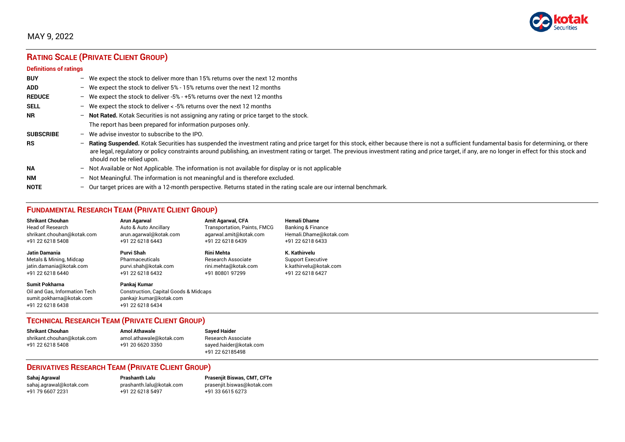

# MAY 9, 2022

# **RATING SCALE (PRIVATE CLIENT GROUP)**

#### **Definitions of ratings**

| <b>BUY</b>       | $-$ | We expect the stock to deliver more than 15% returns over the next 12 months                                                                                                                                                                                                                                                                                                                                                     |
|------------------|-----|----------------------------------------------------------------------------------------------------------------------------------------------------------------------------------------------------------------------------------------------------------------------------------------------------------------------------------------------------------------------------------------------------------------------------------|
| <b>ADD</b>       |     | - We expect the stock to deliver $5\%$ - 15% returns over the next 12 months                                                                                                                                                                                                                                                                                                                                                     |
| <b>REDUCE</b>    |     | - We expect the stock to deliver -5% - +5% returns over the next 12 months                                                                                                                                                                                                                                                                                                                                                       |
| <b>SELL</b>      |     | - We expect the stock to deliver $\lt$ -5% returns over the next 12 months                                                                                                                                                                                                                                                                                                                                                       |
| <b>NR</b>        |     | - Not Rated. Kotak Securities is not assigning any rating or price target to the stock.                                                                                                                                                                                                                                                                                                                                          |
|                  |     | The report has been prepared for information purposes only.                                                                                                                                                                                                                                                                                                                                                                      |
| <b>SUBSCRIBE</b> | $-$ | We advise investor to subscribe to the IPO.                                                                                                                                                                                                                                                                                                                                                                                      |
| <b>RS</b>        | $-$ | Rating Suspended. Kotak Securities has suspended the investment rating and price target for this stock, either because there is not a sufficient fundamental basis for determining, or there<br>are legal, regulatory or policy constraints around publishing, an investment rating or target. The previous investment rating and price target, if any, are no longer in effect for this stock and<br>should not be relied upon. |
| <b>NA</b>        |     | $-$ Not Available or Not Applicable. The information is not available for display or is not applicable                                                                                                                                                                                                                                                                                                                           |
| <b>NM</b>        |     | - Not Meaningful. The information is not meaningful and is therefore excluded.                                                                                                                                                                                                                                                                                                                                                   |
| <b>NOTE</b>      | $-$ | Our target prices are with a 12-month perspective. Returns stated in the rating scale are our internal benchmark.                                                                                                                                                                                                                                                                                                                |

# **FUNDAMENTAL RESEARCH TEAM (PRIVATE CLIENT GROUP)**

| <b>Shrikant Chouhan</b>                                                                                | Arun Agarwal                                                                                         | <b>Amit Agarwal, CFA</b>            | <b>Hemali Dhame</b>      |
|--------------------------------------------------------------------------------------------------------|------------------------------------------------------------------------------------------------------|-------------------------------------|--------------------------|
| <b>Head of Research</b>                                                                                | Auto & Auto Ancillary                                                                                | <b>Transportation, Paints, FMCG</b> | Banking & Finance        |
| shrikant.chouhan@kotak.com                                                                             | arun.agarwal@kotak.com                                                                               | agarwal.amit@kotak.com              | Hemali.Dhame@kotak.com   |
| +91 22 6218 5408                                                                                       | +91 22 6218 6443                                                                                     | +91 22 6218 6439                    | +91 22 6218 6433         |
| Jatin Damania                                                                                          | Purvi Shah                                                                                           | <b>Rini Mehta</b>                   | K. Kathirvelu            |
| Metals & Mining, Midcap                                                                                | Pharmaceuticals                                                                                      | <b>Research Associate</b>           | <b>Support Executive</b> |
| jatin.damania@kotak.com                                                                                | purvi.shah@kotak.com                                                                                 | rini.mehta@kotak.com                | k.kathirvelu@kotak.com   |
| +91 22 6218 6440                                                                                       | +91 22 6218 6432                                                                                     | +91 80801 97299                     | +91 22 6218 6427         |
| <b>Sumit Pokharna</b><br>Oil and Gas. Information Tech<br>sumit.pokharna@kotak.com<br>+91 22 6218 6438 | Pankai Kumar<br>Construction, Capital Goods & Midcaps<br>pankajr.kumar@kotak.com<br>+91 22 6218 6434 |                                     |                          |

### **TECHNICAL RESEARCH TEAM (PRIVATE CLIENT GROUP)**

| <b>Shrikant Chouhan</b>    | <b>Amol Athawale</b>    |  |
|----------------------------|-------------------------|--|
| shrikant.chouhan@kotak.com | amol.athawale@kotak.com |  |
| +91 22 6218 5408           | +91 20 6620 3350        |  |
|                            |                         |  |

**Sayed Haider** Research Associate [sayed.haider@kotak.com](mailto:sayed.haider@kotak.com) +91 22 62185498

### **DERIVATIVES RESEARCH TEAM (PRIVATE CLIENT GROUP)**

+91 22 6218 5497 +91 33 6615 6273

**Sahaj Agrawal Prashanth Lalu Prasenjit Biswas, CMT, CFTe** [sahaj.agrawal@kotak.com](mailto:sahaj.agrawal@kotak.com) [prashanth.lalu@kotak.com](mailto:prashanth.lalu@kotak.com) [prasenjit.biswas@kotak.com](mailto:prasenjit.biswas@kotak.com)